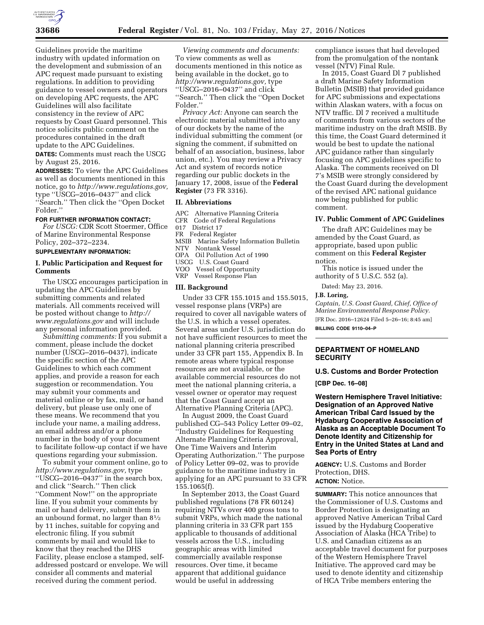

Guidelines provide the maritime industry with updated information on the development and submission of an APC request made pursuant to existing regulations. In addition to providing guidance to vessel owners and operators on developing APC requests, the APC Guidelines will also facilitate consistency in the review of APC requests by Coast Guard personnel. This notice solicits public comment on the procedures contained in the draft update to the APC Guidelines.

**DATES:** Comments must reach the USCG by August 25, 2016.

**ADDRESSES:** To view the APC Guidelines as well as documents mentioned in this notice, go to *[http://www.regulations.gov,](http://www.regulations.gov)*  type ''USCG–2016–0437'' and click ''Search.'' Then click the ''Open Docket Folder.''

#### **FOR FURTHER INFORMATION CONTACT:**

*For USCG:* CDR Scott Stoermer, Office of Marine Environmental Response Policy, 202–372–2234.

#### **SUPPLEMENTARY INFORMATION:**

#### **I. Public Participation and Request for Comments**

The USCG encourages participation in updating the APC Guidelines by submitting comments and related materials. All comments received will be posted without change to *[http://](http://www.regulations.gov) [www.regulations.gov](http://www.regulations.gov)* and will include any personal information provided.

*Submitting comments:* If you submit a comment, please include the docket number (USCG–2016–0437), indicate the specific section of the APC Guidelines to which each comment applies, and provide a reason for each suggestion or recommendation. You may submit your comments and material online or by fax, mail, or hand delivery, but please use only one of these means. We recommend that you include your name, a mailing address, an email address and/or a phone number in the body of your document to facilitate follow-up contact if we have questions regarding your submission.

To submit your comment online, go to *[http://www.regulations.gov,](http://www.regulations.gov)* type ''USCG–2016–0437'' in the search box, and click ''Search.'' Then click ''Comment Now!'' on the appropriate line. If you submit your comments by mail or hand delivery, submit them in an unbound format, no larger than 81⁄2 by 11 inches, suitable for copying and electronic filing. If you submit comments by mail and would like to know that they reached the DHS Facility, please enclose a stamped, selfaddressed postcard or envelope. We will consider all comments and material received during the comment period.

*Viewing comments and documents:*  To view comments as well as documents mentioned in this notice as being available in the docket, go to *[http://www.regulations.gov,](http://www.regulations.gov)* type ''USCG–2016–0437'' and click ''Search.'' Then click the ''Open Docket Folder.''

*Privacy Act:* Anyone can search the electronic material submitted into any of our dockets by the name of the individual submitting the comment (or signing the comment, if submitted on behalf of an association, business, labor union, etc.). You may review a Privacy Act and system of records notice regarding our public dockets in the January 17, 2008, issue of the **Federal Register** (73 FR 3316).

#### **II. Abbreviations**

- APC Alternative Planning Criteria<br>CFR Code of Federal Regulations
- Code of Federal Regulations

017 District 17

FR Federal Register

- MSIB Marine Safety Information Bulletin
- NTV Nontank Vessel OPA Oil Pollution Act of 1990
- USCG U.S. Coast Guard
- VOO Vessel of Opportunity
- VRP Vessel Response Plan

#### **III. Background**

Under 33 CFR 155.1015 and 155.5015, vessel response plans (VRPs) are required to cover all navigable waters of the U.S. in which a vessel operates. Several areas under U.S. jurisdiction do not have sufficient resources to meet the national planning criteria prescribed under 33 CFR part 155, Appendix B. In remote areas where typical response resources are not available, or the available commercial resources do not meet the national planning criteria, a vessel owner or operator may request that the Coast Guard accept an Alternative Planning Criteria (APC).

In August 2009, the Coast Guard published CG–543 Policy Letter 09–02, ''Industry Guidelines for Requesting Alternate Planning Criteria Approval, One Time Waivers and Interim Operating Authorization.'' The purpose of Policy Letter 09–02, was to provide guidance to the maritime industry in applying for an APC pursuant to 33 CFR 155.1065(f).

In September 2013, the Coast Guard published regulations (78 FR 60124) requiring NTVs over 400 gross tons to submit VRPs, which made the national planning criteria in 33 CFR part 155 applicable to thousands of additional vessels across the U.S., including geographic areas with limited commercially available response resources. Over time, it became apparent that additional guidance would be useful in addressing

compliance issues that had developed from the promulgation of the nontank vessel (NTV) Final Rule.

In 2015, Coast Guard Dl 7 published a draft Marine Safety Information Bulletin (MSIB) that provided guidance for APC submissions and expectations within Alaskan waters, with a focus on NTV traffic. Dl 7 received a multitude of comments from various sectors of the maritime industry on the draft MSIB. By this time, the Coast Guard determined it would be best to update the national APC guidance rather than singularly focusing on APC guidelines specific to Alaska. The comments received on Dl 7's MSIB were strongly considered by the Coast Guard during the development of the revised APC national guidance now being published for public comment.

#### **IV. Public Comment of APC Guidelines**

The draft APC Guidelines may be amended by the Coast Guard, as appropriate, based upon public comment on this **Federal Register**  notice.

This notice is issued under the authority of 5 U.S.C. 552 (a).

Dated: May 23, 2016.

#### **J.B. Loring,**

*Captain, U.S. Coast Guard, Chief, Office of Marine Environmental Response Policy.*  [FR Doc. 2016–12624 Filed 5–26–16; 8:45 am] **BILLING CODE 9110–04–P** 

### **DEPARTMENT OF HOMELAND SECURITY**

# **U.S. Customs and Border Protection**

**[CBP Dec. 16–08]** 

**Western Hemisphere Travel Initiative: Designation of an Approved Native American Tribal Card Issued by the Hydaburg Cooperative Association of Alaska as an Acceptable Document To Denote Identity and Citizenship for Entry in the United States at Land and Sea Ports of Entry** 

**AGENCY:** U.S. Customs and Border Protection, DHS. **ACTION:** Notice.

**SUMMARY:** This notice announces that the Commissioner of U.S. Customs and Border Protection is designating an approved Native American Tribal Card issued by the Hydaburg Cooperative Association of Alaska (HCA Tribe) to U.S. and Canadian citizens as an acceptable travel document for purposes of the Western Hemisphere Travel Initiative. The approved card may be used to denote identity and citizenship of HCA Tribe members entering the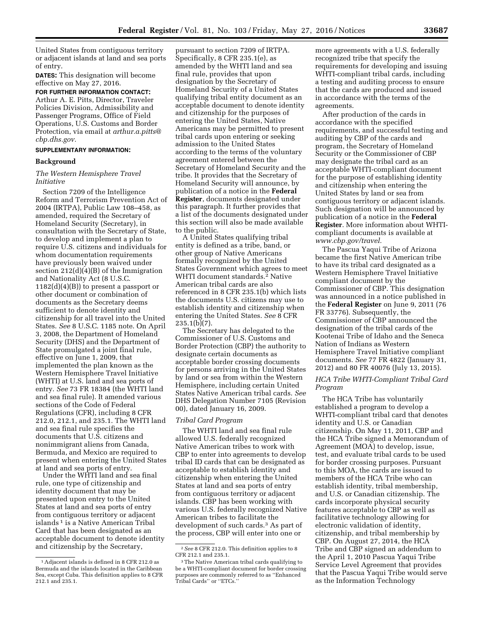United States from contiguous territory or adjacent islands at land and sea ports of entry.

**DATES:** This designation will become effective on May 27, 2016.

**FOR FURTHER INFORMATION CONTACT:**  Arthur A. E. Pitts, Director, Traveler Policies Division, Admissibility and Passenger Programs, Office of Field Operations, U.S. Customs and Border Protection, via email at *[arthur.a.pitts@](mailto:arthur.a.pitts@cbp.dhs.gov) [cbp.dhs.gov.](mailto:arthur.a.pitts@cbp.dhs.gov)* 

## **SUPPLEMENTARY INFORMATION:**

#### **Background**

## *The Western Hemisphere Travel Initiative*

Section 7209 of the Intelligence Reform and Terrorism Prevention Act of 2004 (IRTPA), Public Law 108–458, as amended, required the Secretary of Homeland Security (Secretary), in consultation with the Secretary of State, to develop and implement a plan to require U.S. citizens and individuals for whom documentation requirements have previously been waived under section 212(d)(4)(B) of the Immigration and Nationality Act (8 U.S.C.  $1182(d)(4)(B)$  to present a passport or other document or combination of documents as the Secretary deems sufficient to denote identity and citizenship for all travel into the United States. *See* 8 U.S.C. 1185 note. On April 3, 2008, the Department of Homeland Security (DHS) and the Department of State promulgated a joint final rule, effective on June 1, 2009, that implemented the plan known as the Western Hemisphere Travel Initiative (WHTI) at U.S. land and sea ports of entry. *See* 73 FR 18384 (the WHTI land and sea final rule). It amended various sections of the Code of Federal Regulations (CFR), including 8 CFR 212.0, 212.1, and 235.1. The WHTI land and sea final rule specifies the documents that U.S. citizens and nonimmigrant aliens from Canada, Bermuda, and Mexico are required to present when entering the United States at land and sea ports of entry.

Under the WHTI land and sea final rule, one type of citizenship and identity document that may be presented upon entry to the United States at land and sea ports of entry from contiguous territory or adjacent islands<sup>1</sup> is a Native American Tribal Card that has been designated as an acceptable document to denote identity and citizenship by the Secretary,

pursuant to section 7209 of IRTPA. Specifically, 8 CFR 235.1(e), as amended by the WHTI land and sea final rule, provides that upon designation by the Secretary of Homeland Security of a United States qualifying tribal entity document as an acceptable document to denote identity and citizenship for the purposes of entering the United States, Native Americans may be permitted to present tribal cards upon entering or seeking admission to the United States according to the terms of the voluntary agreement entered between the Secretary of Homeland Security and the tribe. It provides that the Secretary of Homeland Security will announce, by publication of a notice in the **Federal Register**, documents designated under this paragraph. It further provides that a list of the documents designated under this section will also be made available to the public.

A United States qualifying tribal entity is defined as a tribe, band, or other group of Native Americans formally recognized by the United States Government which agrees to meet WHTI document standards.2 Native American tribal cards are also referenced in 8 CFR 235.1(b) which lists the documents U.S. citizens may use to establish identity and citizenship when entering the United States. *See* 8 CFR  $235.1(b)(7)$ .

The Secretary has delegated to the Commissioner of U.S. Customs and Border Protection (CBP) the authority to designate certain documents as acceptable border crossing documents for persons arriving in the United States by land or sea from within the Western Hemisphere, including certain United States Native American tribal cards. *See*  DHS Delegation Number 7105 (Revision 00), dated January 16, 2009.

## *Tribal Card Program*

The WHTI land and sea final rule allowed U.S. federally recognized Native American tribes to work with CBP to enter into agreements to develop tribal ID cards that can be designated as acceptable to establish identity and citizenship when entering the United States at land and sea ports of entry from contiguous territory or adjacent islands. CBP has been working with various U.S. federally recognized Native American tribes to facilitate the development of such cards.3 As part of the process, CBP will enter into one or

more agreements with a U.S. federally recognized tribe that specify the requirements for developing and issuing WHTI-compliant tribal cards, including a testing and auditing process to ensure that the cards are produced and issued in accordance with the terms of the agreements.

After production of the cards in accordance with the specified requirements, and successful testing and auditing by CBP of the cards and program, the Secretary of Homeland Security or the Commissioner of CBP may designate the tribal card as an acceptable WHTI-compliant document for the purpose of establishing identity and citizenship when entering the United States by land or sea from contiguous territory or adjacent islands. Such designation will be announced by publication of a notice in the **Federal Register**. More information about WHTIcompliant documents is available at *[www.cbp.gov/travel.](http://www.cbp.gov/travel)* 

The Pascua Yaqui Tribe of Arizona became the first Native American tribe to have its tribal card designated as a Western Hemisphere Travel Initiative compliant document by the Commissioner of CBP. This designation was announced in a notice published in the **Federal Register** on June 9, 2011 (76 FR 33776). Subsequently, the Commissioner of CBP announced the designation of the tribal cards of the Kootenai Tribe of Idaho and the Seneca Nation of Indians as Western Hemisphere Travel Initiative compliant documents. *See* 77 FR 4822 (January 31, 2012) and 80 FR 40076 (July 13, 2015).

### *HCA Tribe WHTI-Compliant Tribal Card Program*

The HCA Tribe has voluntarily established a program to develop a WHTI-compliant tribal card that denotes identity and U.S. or Canadian citizenship. On May 11, 2011, CBP and the HCA Tribe signed a Memorandum of Agreement (MOA) to develop, issue, test, and evaluate tribal cards to be used for border crossing purposes. Pursuant to this MOA, the cards are issued to members of the HCA Tribe who can establish identity, tribal membership, and U.S. or Canadian citizenship. The cards incorporate physical security features acceptable to CBP as well as facilitative technology allowing for electronic validation of identity, citizenship, and tribal membership by CBP. On August 27, 2014, the HCA Tribe and CBP signed an addendum to the April 1, 2010 Pascua Yaqui Tribe Service Level Agreement that provides that the Pascua Yaqui Tribe would serve as the Information Technology

<sup>1</sup>Adjacent islands is defined in 8 CFR 212.0 as Bermuda and the islands located in the Caribbean Sea, except Cuba. This definition applies to 8 CFR 212.1 and 235.1.

<sup>2</sup>*See* 8 CFR 212.0. This definition applies to 8 CFR 212.1 and 235.1.

<sup>3</sup>The Native American tribal cards qualifying to be a WHTI-compliant document for border crossing purposes are commonly referred to as ''Enhanced Tribal Cards'' or ''ETCs.''